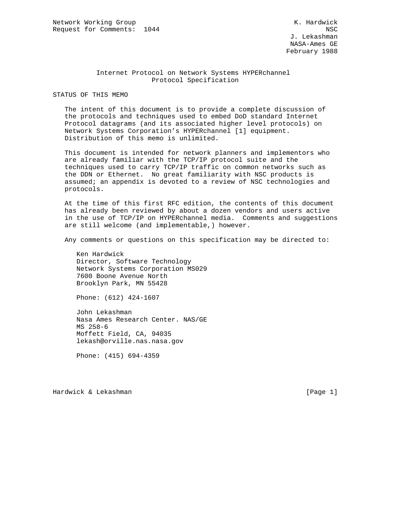## Internet Protocol on Network Systems HYPERchannel Protocol Specification

STATUS OF THIS MEMO

 The intent of this document is to provide a complete discussion of the protocols and techniques used to embed DoD standard Internet Protocol datagrams (and its associated higher level protocols) on Network Systems Corporation's HYPERchannel [1] equipment. Distribution of this memo is unlimited.

 This document is intended for network planners and implementors who are already familiar with the TCP/IP protocol suite and the techniques used to carry TCP/IP traffic on common networks such as the DDN or Ethernet. No great familiarity with NSC products is assumed; an appendix is devoted to a review of NSC technologies and protocols.

 At the time of this first RFC edition, the contents of this document has already been reviewed by about a dozen vendors and users active in the use of TCP/IP on HYPERchannel media. Comments and suggestions are still welcome (and implementable,) however.

Any comments or questions on this specification may be directed to:

 Ken Hardwick Director, Software Technology Network Systems Corporation MS029 7600 Boone Avenue North Brooklyn Park, MN 55428

Phone: (612) 424-1607

 John Lekashman Nasa Ames Research Center. NAS/GE MS 258-6 Moffett Field, CA, 94035 lekash@orville.nas.nasa.gov

Phone: (415) 694-4359

Hardwick & Lekashman **Example 2018** [Page 1]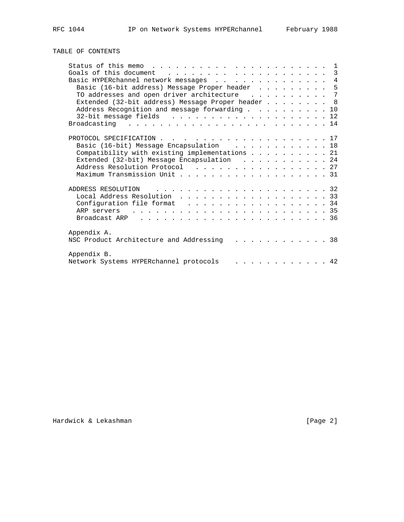# TABLE OF CONTENTS

| Basic HYPERchannel network messages 4             |  |
|---------------------------------------------------|--|
| Basic (16-bit address) Message Proper header 5    |  |
| TO addresses and open driver architecture 7       |  |
| Extended (32-bit address) Message Proper header 8 |  |
| Address Recognition and message forwarding 10     |  |
|                                                   |  |
|                                                   |  |
|                                                   |  |
| PROTOCOL SPECIFICATION 17                         |  |
|                                                   |  |
| Basic (16-bit) Message Encapsulation 18           |  |
| Compatibility with existing implementations 21    |  |
| Extended (32-bit) Message Encapsulation 24        |  |
| Address Resolution Protocol 27                    |  |
|                                                   |  |
| ADDRESS RESOLUTION                                |  |
| Local Address Resolution 33                       |  |
| Configuration file format 34                      |  |
|                                                   |  |
|                                                   |  |
|                                                   |  |
|                                                   |  |
| Appendix A.                                       |  |
| NSC Product Architecture and Addressing (a) 38    |  |
|                                                   |  |
| Appendix B.                                       |  |
| Network Systems HYPERchannel protocols<br>. 42    |  |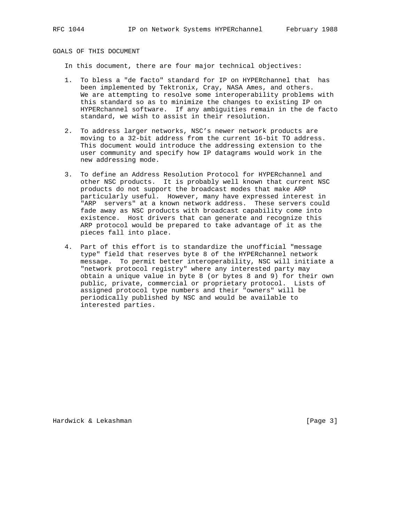GOALS OF THIS DOCUMENT

In this document, there are four major technical objectives:

- 1. To bless a "de facto" standard for IP on HYPERchannel that has been implemented by Tektronix, Cray, NASA Ames, and others. We are attempting to resolve some interoperability problems with this standard so as to minimize the changes to existing IP on HYPERchannel software. If any ambiguities remain in the de facto standard, we wish to assist in their resolution.
- 2. To address larger networks, NSC's newer network products are moving to a 32-bit address from the current 16-bit TO address. This document would introduce the addressing extension to the user community and specify how IP datagrams would work in the new addressing mode.
- 3. To define an Address Resolution Protocol for HYPERchannel and other NSC products. It is probably well known that current NSC products do not support the broadcast modes that make ARP particularly useful. However, many have expressed interest in "ARP servers" at a known network address. These servers could fade away as NSC products with broadcast capability come into existence. Host drivers that can generate and recognize this ARP protocol would be prepared to take advantage of it as the pieces fall into place.
- 4. Part of this effort is to standardize the unofficial "message type" field that reserves byte 8 of the HYPERchannel network message. To permit better interoperability, NSC will initiate a "network protocol registry" where any interested party may obtain a unique value in byte 8 (or bytes 8 and 9) for their own public, private, commercial or proprietary protocol. Lists of assigned protocol type numbers and their "owners" will be periodically published by NSC and would be available to interested parties.

Hardwick & Lekashman **Example 2018** [Page 3]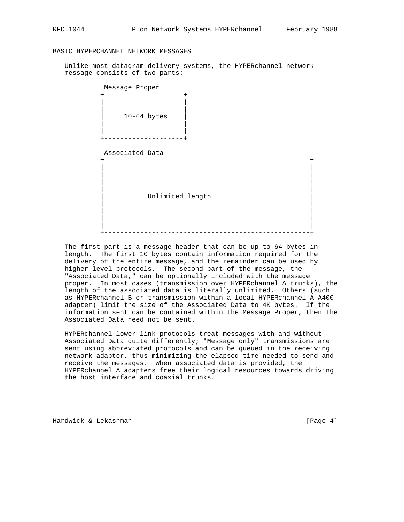## BASIC HYPERCHANNEL NETWORK MESSAGES

 Unlike most datagram delivery systems, the HYPERchannel network message consists of two parts:

| Message Proper<br>------+ |
|---------------------------|
| $10-64$ bytes<br>------   |
| Associated Data           |
| Unlimited length          |
|                           |

 The first part is a message header that can be up to 64 bytes in length. The first 10 bytes contain information required for the delivery of the entire message, and the remainder can be used by higher level protocols. The second part of the message, the "Associated Data," can be optionally included with the message proper. In most cases (transmission over HYPERchannel A trunks), the length of the associated data is literally unlimited. Others (such as HYPERchannel B or transmission within a local HYPERchannel A A400 adapter) limit the size of the Associated Data to 4K bytes. If the information sent can be contained within the Message Proper, then the Associated Data need not be sent.

 HYPERchannel lower link protocols treat messages with and without Associated Data quite differently; "Message only" transmissions are sent using abbreviated protocols and can be queued in the receiving network adapter, thus minimizing the elapsed time needed to send and receive the messages. When associated data is provided, the HYPERchannel A adapters free their logical resources towards driving the host interface and coaxial trunks.

Hardwick & Lekashman [Page 4]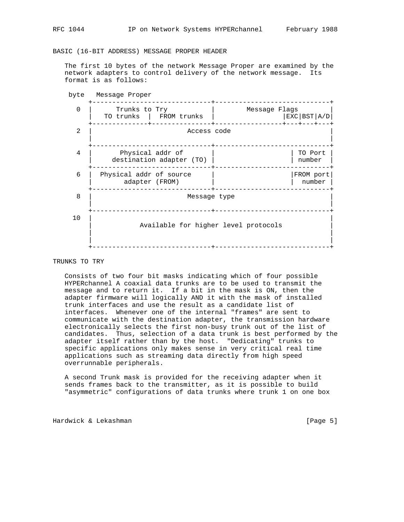BASIC (16-BIT ADDRESS) MESSAGE PROPER HEADER

 The first 10 bytes of the network Message Proper are examined by the network adapters to control delivery of the network message. Its format is as follows:



## TRUNKS TO TRY

 Consists of two four bit masks indicating which of four possible HYPERchannel A coaxial data trunks are to be used to transmit the message and to return it. If a bit in the mask is ON, then the adapter firmware will logically AND it with the mask of installed trunk interfaces and use the result as a candidate list of interfaces. Whenever one of the internal "frames" are sent to communicate with the destination adapter, the transmission hardware electronically selects the first non-busy trunk out of the list of candidates. Thus, selection of a data trunk is best performed by the adapter itself rather than by the host. "Dedicating" trunks to specific applications only makes sense in very critical real time applications such as streaming data directly from high speed overrunnable peripherals.

 A second Trunk mask is provided for the receiving adapter when it sends frames back to the transmitter, as it is possible to build "asymmetric" configurations of data trunks where trunk 1 on one box

Hardwick & Lekashman [Page 5]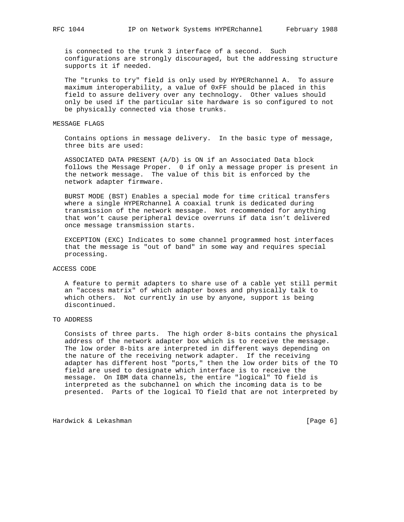is connected to the trunk 3 interface of a second. Such configurations are strongly discouraged, but the addressing structure supports it if needed.

 The "trunks to try" field is only used by HYPERchannel A. To assure maximum interoperability, a value of 0xFF should be placed in this field to assure delivery over any technology. Other values should only be used if the particular site hardware is so configured to not be physically connected via those trunks.

#### MESSAGE FLAGS

 Contains options in message delivery. In the basic type of message, three bits are used:

 ASSOCIATED DATA PRESENT (A/D) is ON if an Associated Data block follows the Message Proper. 0 if only a message proper is present in the network message. The value of this bit is enforced by the network adapter firmware.

 BURST MODE (BST) Enables a special mode for time critical transfers where a single HYPERchannel A coaxial trunk is dedicated during transmission of the network message. Not recommended for anything that won't cause peripheral device overruns if data isn't delivered once message transmission starts.

 EXCEPTION (EXC) Indicates to some channel programmed host interfaces that the message is "out of band" in some way and requires special processing.

## ACCESS CODE

 A feature to permit adapters to share use of a cable yet still permit an "access matrix" of which adapter boxes and physically talk to which others. Not currently in use by anyone, support is being discontinued.

## TO ADDRESS

 Consists of three parts. The high order 8-bits contains the physical address of the network adapter box which is to receive the message. The low order 8-bits are interpreted in different ways depending on the nature of the receiving network adapter. If the receiving adapter has different host "ports," then the low order bits of the TO field are used to designate which interface is to receive the message. On IBM data channels, the entire "logical" TO field is interpreted as the subchannel on which the incoming data is to be presented. Parts of the logical TO field that are not interpreted by

Hardwick & Lekashman **Example 2018** [Page 6]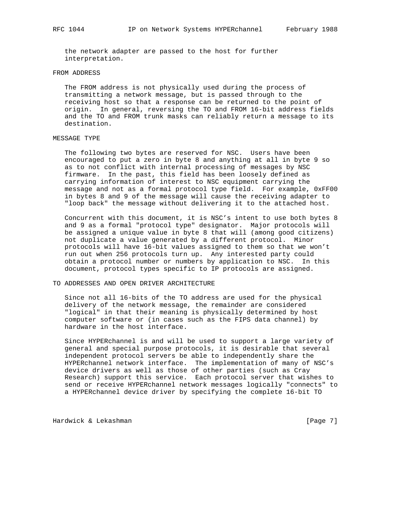the network adapter are passed to the host for further interpretation.

#### FROM ADDRESS

 The FROM address is not physically used during the process of transmitting a network message, but is passed through to the receiving host so that a response can be returned to the point of origin. In general, reversing the TO and FROM 16-bit address fields and the TO and FROM trunk masks can reliably return a message to its destination.

## MESSAGE TYPE

 The following two bytes are reserved for NSC. Users have been encouraged to put a zero in byte 8 and anything at all in byte 9 so as to not conflict with internal processing of messages by NSC firmware. In the past, this field has been loosely defined as carrying information of interest to NSC equipment carrying the message and not as a formal protocol type field. For example, 0xFF00 in bytes 8 and 9 of the message will cause the receiving adapter to "loop back" the message without delivering it to the attached host.

 Concurrent with this document, it is NSC's intent to use both bytes 8 and 9 as a formal "protocol type" designator. Major protocols will be assigned a unique value in byte 8 that will (among good citizens) not duplicate a value generated by a different protocol. Minor protocols will have 16-bit values assigned to them so that we won't run out when 256 protocols turn up. Any interested party could obtain a protocol number or numbers by application to NSC. In this document, protocol types specific to IP protocols are assigned.

#### TO ADDRESSES AND OPEN DRIVER ARCHITECTURE

 Since not all 16-bits of the TO address are used for the physical delivery of the network message, the remainder are considered "logical" in that their meaning is physically determined by host computer software or (in cases such as the FIPS data channel) by hardware in the host interface.

 Since HYPERchannel is and will be used to support a large variety of general and special purpose protocols, it is desirable that several independent protocol servers be able to independently share the HYPERchannel network interface. The implementation of many of NSC's device drivers as well as those of other parties (such as Cray Research) support this service. Each protocol server that wishes to send or receive HYPERchannel network messages logically "connects" to a HYPERchannel device driver by specifying the complete 16-bit TO

Hardwick & Lekashman **Example 2018** [Page 7]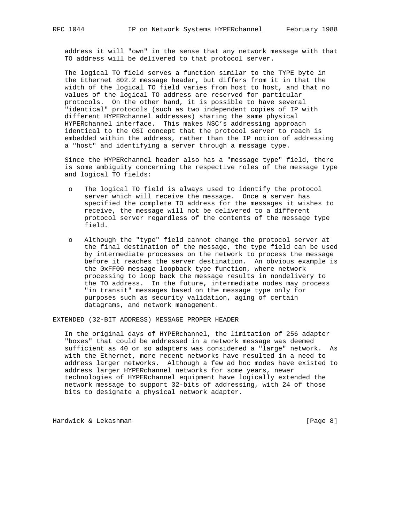address it will "own" in the sense that any network message with that TO address will be delivered to that protocol server.

 The logical TO field serves a function similar to the TYPE byte in the Ethernet 802.2 message header, but differs from it in that the width of the logical TO field varies from host to host, and that no values of the logical TO address are reserved for particular protocols. On the other hand, it is possible to have several "identical" protocols (such as two independent copies of IP with different HYPERchannel addresses) sharing the same physical HYPERchannel interface. This makes NSC's addressing approach identical to the OSI concept that the protocol server to reach is embedded within the address, rather than the IP notion of addressing a "host" and identifying a server through a message type.

 Since the HYPERchannel header also has a "message type" field, there is some ambiguity concerning the respective roles of the message type and logical TO fields:

- o The logical TO field is always used to identify the protocol server which will receive the message. Once a server has specified the complete TO address for the messages it wishes to receive, the message will not be delivered to a different protocol server regardless of the contents of the message type field.
- o Although the "type" field cannot change the protocol server at the final destination of the message, the type field can be used by intermediate processes on the network to process the message before it reaches the server destination. An obvious example is the 0xFF00 message loopback type function, where network processing to loop back the message results in nondelivery to the TO address. In the future, intermediate nodes may process "in transit" messages based on the message type only for purposes such as security validation, aging of certain datagrams, and network management.

EXTENDED (32-BIT ADDRESS) MESSAGE PROPER HEADER

 In the original days of HYPERchannel, the limitation of 256 adapter "boxes" that could be addressed in a network message was deemed sufficient as 40 or so adapters was considered a "large" network. As with the Ethernet, more recent networks have resulted in a need to address larger networks. Although a few ad hoc modes have existed to address larger HYPERchannel networks for some years, newer technologies of HYPERchannel equipment have logically extended the network message to support 32-bits of addressing, with 24 of those bits to designate a physical network adapter.

Hardwick & Lekashman **Example 2018** [Page 8]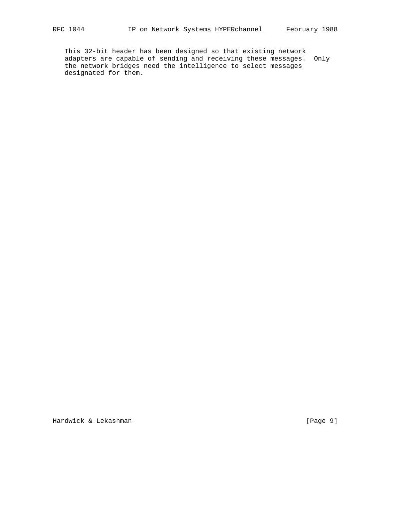This 32-bit header has been designed so that existing network adapters are capable of sending and receiving these messages. Only the network bridges need the intelligence to select messages designated for them.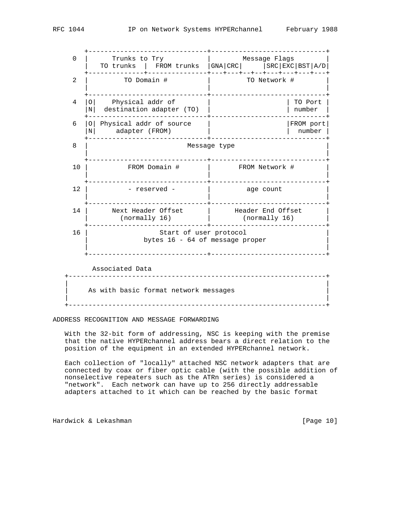+------------------------------+-----------------------------+ 0 | Trunks to Try | Message Flags | | TO trunks | FROM trunks |GNA|CRC| |SRC|EXC|BST|A/D| +--------------+---------------+---+---+--+--+---+---+---+---+ 2 | TO Domain # | TO Network # | | | +------------------------------+-----------------------------+ 4 |O| Physical addr of |N| destination adapter (TO) | | number | +------------------------------+-----------------------------+ 6 |O| Physical addr of source | | | |FROM port| |N| adapter (FROM) | | number | +------------------------------+-----------------------------+ 8 | Message type | | +------------------------------+-----------------------------+ 10 | FROM Domain # | FROM Network # | | | +------------------------------+-----------------------------+ 12 | - reserved - | age count | | | +------------------------------+-----------------------------+ 14 | Next Header Offset | Header End Offset | | (normally 16) | (normally 16) | +------------------------------+-----------------------------+ 16 | Start of user protocol bytes 16 - 64 of message proper | | +------------------------------+-----------------------------+ Associated Data +-----------------------------------------------------------------+ | | As with basic format network messages | | +-----------------------------------------------------------------+

ADDRESS RECOGNITION AND MESSAGE FORWARDING

 With the 32-bit form of addressing, NSC is keeping with the premise that the native HYPERchannel address bears a direct relation to the position of the equipment in an extended HYPERchannel network.

 Each collection of "locally" attached NSC network adapters that are connected by coax or fiber optic cable (with the possible addition of nonselective repeaters such as the ATRn series) is considered a "network". Each network can have up to 256 directly addressable adapters attached to it which can be reached by the basic format

Hardwick & Lekashman [Page 10]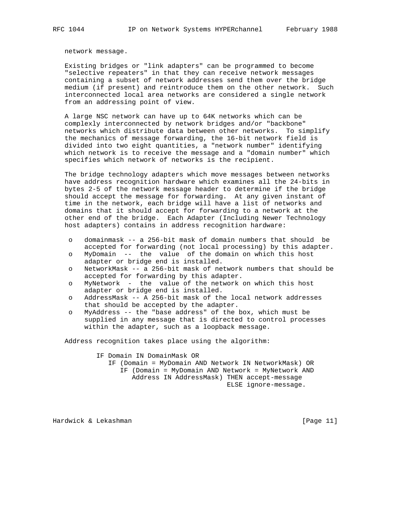network message.

 Existing bridges or "link adapters" can be programmed to become "selective repeaters" in that they can receive network messages containing a subset of network addresses send them over the bridge medium (if present) and reintroduce them on the other network. Such interconnected local area networks are considered a single network from an addressing point of view.

 A large NSC network can have up to 64K networks which can be complexly interconnected by network bridges and/or "backbone" networks which distribute data between other networks. To simplify the mechanics of message forwarding, the 16-bit network field is divided into two eight quantities, a "network number" identifying which network is to receive the message and a "domain number" which specifies which network of networks is the recipient.

 The bridge technology adapters which move messages between networks have address recognition hardware which examines all the 24-bits in bytes 2-5 of the network message header to determine if the bridge should accept the message for forwarding. At any given instant of time in the network, each bridge will have a list of networks and domains that it should accept for forwarding to a network at the other end of the bridge. Each Adapter (Including Newer Technology host adapters) contains in address recognition hardware:

- o domainmask -- a 256-bit mask of domain numbers that should be accepted for forwarding (not local processing) by this adapter.
- o MyDomain -- the value of the domain on which this host adapter or bridge end is installed.
- o NetworkMask -- a 256-bit mask of network numbers that should be accepted for forwarding by this adapter.
- o MyNetwork the value of the network on which this host adapter or bridge end is installed.
- o AddressMask -- A 256-bit mask of the local network addresses that should be accepted by the adapter.
- o MyAddress -- the "base address" of the box, which must be supplied in any message that is directed to control processes within the adapter, such as a loopback message.

Address recognition takes place using the algorithm:

 IF Domain IN DomainMask OR IF (Domain = MyDomain AND Network IN NetworkMask) OR IF (Domain = MyDomain AND Network = MyNetwork AND Address IN AddressMask) THEN accept-message ELSE ignore-message.

Hardwick & Lekashman [Page 11]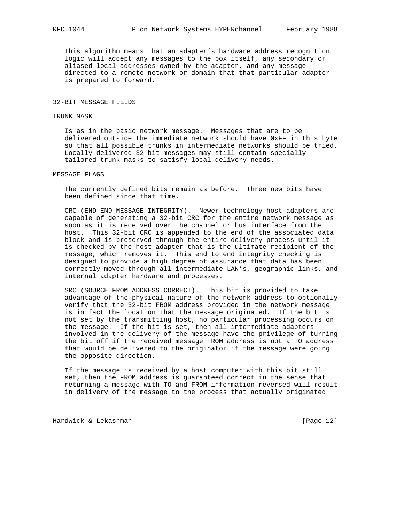This algorithm means that an adapter's hardware address recognition logic will accept any messages to the box itself, any secondary or aliased local addresses owned by the adapter, and any message directed to a remote network or domain that that particular adapter is prepared to forward.

#### 32-BIT MESSAGE FIELDS

### TRUNK MASK

 Is as in the basic network message. Messages that are to be delivered outside the immediate network should have 0xFF in this byte so that all possible trunks in intermediate networks should be tried. Locally delivered 32-bit messages may still contain specially tailored trunk masks to satisfy local delivery needs.

## MESSAGE FLAGS

 The currently defined bits remain as before. Three new bits have been defined since that time.

 CRC (END-END MESSAGE INTEGRITY). Newer technology host adapters are capable of generating a 32-bit CRC for the entire network message as soon as it is received over the channel or bus interface from the host. This 32-bit CRC is appended to the end of the associated data block and is preserved through the entire delivery process until it is checked by the host adapter that is the ultimate recipient of the message, which removes it. This end to end integrity checking is designed to provide a high degree of assurance that data has been correctly moved through all intermediate LAN's, geographic links, and internal adapter hardware and processes.

 SRC (SOURCE FROM ADDRESS CORRECT). This bit is provided to take advantage of the physical nature of the network address to optionally verify that the 32-bit FROM address provided in the network message is in fact the location that the message originated. If the bit is not set by the transmitting host, no particular processing occurs on the message. If the bit is set, then all intermediate adapters involved in the delivery of the message have the privilege of turning the bit off if the received message FROM address is not a TO address that would be delivered to the originator if the message were going the opposite direction.

 If the message is received by a host computer with this bit still set, then the FROM address is guaranteed correct in the sense that returning a message with TO and FROM information reversed will result in delivery of the message to the process that actually originated

Hardwick & Lekashman [Page 12]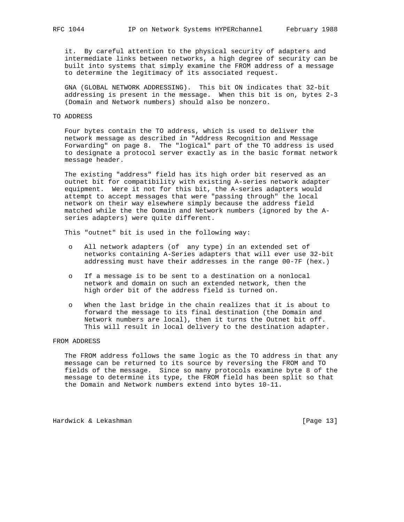it. By careful attention to the physical security of adapters and intermediate links between networks, a high degree of security can be built into systems that simply examine the FROM address of a message to determine the legitimacy of its associated request.

 GNA (GLOBAL NETWORK ADDRESSING). This bit ON indicates that 32-bit addressing is present in the message. When this bit is on, bytes 2-3 (Domain and Network numbers) should also be nonzero.

#### TO ADDRESS

 Four bytes contain the TO address, which is used to deliver the network message as described in "Address Recognition and Message Forwarding" on page 8. The "logical" part of the TO address is used to designate a protocol server exactly as in the basic format network message header.

 The existing "address" field has its high order bit reserved as an outnet bit for compatibility with existing A-series network adapter equipment. Were it not for this bit, the A-series adapters would attempt to accept messages that were "passing through" the local network on their way elsewhere simply because the address field matched while the the Domain and Network numbers (ignored by the A series adapters) were quite different.

This "outnet" bit is used in the following way:

- o All network adapters (of any type) in an extended set of networks containing A-Series adapters that will ever use 32-bit addressing must have their addresses in the range 00-7F (hex.)
- o If a message is to be sent to a destination on a nonlocal network and domain on such an extended network, then the high order bit of the address field is turned on.
- o When the last bridge in the chain realizes that it is about to forward the message to its final destination (the Domain and Network numbers are local), then it turns the Outnet bit off. This will result in local delivery to the destination adapter.

#### FROM ADDRESS

 The FROM address follows the same logic as the TO address in that any message can be returned to its source by reversing the FROM and TO fields of the message. Since so many protocols examine byte 8 of the message to determine its type, the FROM field has been split so that the Domain and Network numbers extend into bytes 10-11.

Hardwick & Lekashman **Example 2018** [Page 13]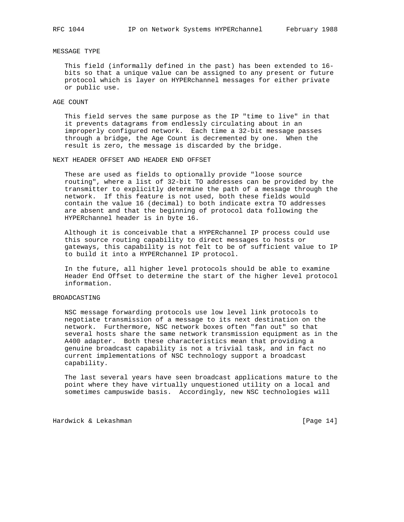## MESSAGE TYPE

 This field (informally defined in the past) has been extended to 16 bits so that a unique value can be assigned to any present or future protocol which is layer on HYPERchannel messages for either private or public use.

### AGE COUNT

 This field serves the same purpose as the IP "time to live" in that it prevents datagrams from endlessly circulating about in an improperly configured network. Each time a 32-bit message passes through a bridge, the Age Count is decremented by one. When the result is zero, the message is discarded by the bridge.

#### NEXT HEADER OFFSET AND HEADER END OFFSET

 These are used as fields to optionally provide "loose source routing", where a list of 32-bit TO addresses can be provided by the transmitter to explicitly determine the path of a message through the network. If this feature is not used, both these fields would contain the value 16 (decimal) to both indicate extra TO addresses are absent and that the beginning of protocol data following the HYPERchannel header is in byte 16.

 Although it is conceivable that a HYPERchannel IP process could use this source routing capability to direct messages to hosts or gateways, this capability is not felt to be of sufficient value to IP to build it into a HYPERchannel IP protocol.

 In the future, all higher level protocols should be able to examine Header End Offset to determine the start of the higher level protocol information.

### BROADCASTING

 NSC message forwarding protocols use low level link protocols to negotiate transmission of a message to its next destination on the network. Furthermore, NSC network boxes often "fan out" so that several hosts share the same network transmission equipment as in the A400 adapter. Both these characteristics mean that providing a genuine broadcast capability is not a trivial task, and in fact no current implementations of NSC technology support a broadcast capability.

 The last several years have seen broadcast applications mature to the point where they have virtually unquestioned utility on a local and sometimes campuswide basis. Accordingly, new NSC technologies will

Hardwick & Lekashman [Page 14]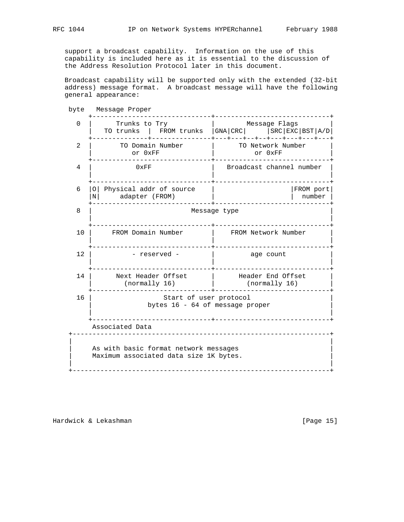support a broadcast capability. Information on the use of this capability is included here as it is essential to the discussion of the Address Resolution Protocol later in this document.

 Broadcast capability will be supported only with the extended (32-bit address) message format. A broadcast message will have the following general appearance:

 byte Message Proper +------------------------------+-----------------------------+ 0 | Trunks to Try | Message Flags | TO trunks | FROM trunks |GNA|CRC| |SRC|EXC|BST|A/D| +--------------+---------------+---+---+--+--+---+---+---+---+ 2 | TO Domain Number | TO Network Number | | or 0xFF | or 0xFF | or 0xFF | or 0xFF | or 0xFF | or 0xFF |  $\sim$  | or 0xFF |  $\sim$  |  $\sim$  |  $\sim$  |  $\sim$  |  $\sim$  |  $\sim$  |  $\sim$  |  $\sim$  |  $\sim$  |  $\sim$  |  $\sim$  |  $\sim$  |  $\sim$  |  $\sim$  |  $\sim$  |  $\sim$  |  $\sim$  |  $\sim$  |  $\sim$  |  $\sim$  |  $\sim$  +------------------------------+-----------------------------+ 4 | 0xFF | Broadcast channel number | | | +------------------------------+-----------------------------+ 6 |O| Physical addr of source | | | |FROM port| |N| adapter (FROM) | | number | +------------------------------+-----------------------------+ 8 | Message type | | +------------------------------+-----------------------------+ 10 | FROM Domain Number | FROM Network Number | | | +------------------------------+-----------------------------+ 12 | - reserved - | age count | | | +------------------------------+-----------------------------+ 14 | Next Header Offset | Header End Offset | | (normally 16) | (normally 16) | +------------------------------+-----------------------------+ 16 | Start of user protocol bytes 16 - 64 of message proper | | +------------------------------+-----------------------------+ Associated Data +-----------------------------------------------------------------+ | | As with basic format network messages Maximum associated data size 1K bytes. | | +-----------------------------------------------------------------+

Hardwick & Lekashman **Example 2018** [Page 15]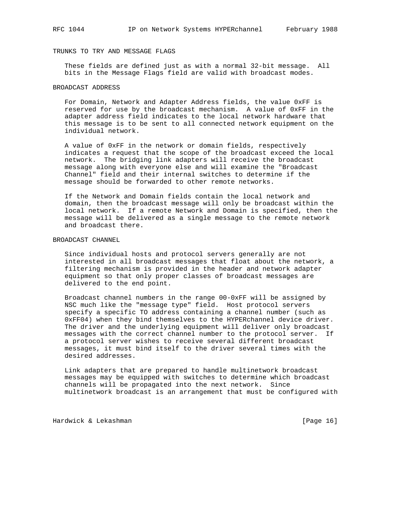## TRUNKS TO TRY AND MESSAGE FLAGS

 These fields are defined just as with a normal 32-bit message. All bits in the Message Flags field are valid with broadcast modes.

## BROADCAST ADDRESS

 For Domain, Network and Adapter Address fields, the value 0xFF is reserved for use by the broadcast mechanism. A value of 0xFF in the adapter address field indicates to the local network hardware that this message is to be sent to all connected network equipment on the individual network.

 A value of 0xFF in the network or domain fields, respectively indicates a request that the scope of the broadcast exceed the local network. The bridging link adapters will receive the broadcast message along with everyone else and will examine the "Broadcast Channel" field and their internal switches to determine if the message should be forwarded to other remote networks.

 If the Network and Domain fields contain the local network and domain, then the broadcast message will only be broadcast within the local network. If a remote Network and Domain is specified, then the message will be delivered as a single message to the remote network and broadcast there.

#### BROADCAST CHANNEL

 Since individual hosts and protocol servers generally are not interested in all broadcast messages that float about the network, a filtering mechanism is provided in the header and network adapter equipment so that only proper classes of broadcast messages are delivered to the end point.

 Broadcast channel numbers in the range 00-0xFF will be assigned by NSC much like the "message type" field. Host protocol servers specify a specific TO address containing a channel number (such as 0xFF04) when they bind themselves to the HYPERchannel device driver. The driver and the underlying equipment will deliver only broadcast messages with the correct channel number to the protocol server. If a protocol server wishes to receive several different broadcast messages, it must bind itself to the driver several times with the desired addresses.

 Link adapters that are prepared to handle multinetwork broadcast messages may be equipped with switches to determine which broadcast channels will be propagated into the next network. Since multinetwork broadcast is an arrangement that must be configured with

Hardwick & Lekashman [Page 16]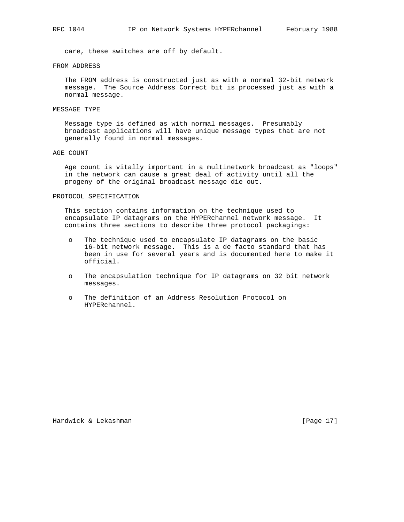care, these switches are off by default.

#### FROM ADDRESS

 The FROM address is constructed just as with a normal 32-bit network message. The Source Address Correct bit is processed just as with a normal message.

#### MESSAGE TYPE

 Message type is defined as with normal messages. Presumably broadcast applications will have unique message types that are not generally found in normal messages.

#### AGE COUNT

 Age count is vitally important in a multinetwork broadcast as "loops" in the network can cause a great deal of activity until all the progeny of the original broadcast message die out.

### PROTOCOL SPECIFICATION

 This section contains information on the technique used to encapsulate IP datagrams on the HYPERchannel network message. It contains three sections to describe three protocol packagings:

- o The technique used to encapsulate IP datagrams on the basic 16-bit network message. This is a de facto standard that has been in use for several years and is documented here to make it official.
- o The encapsulation technique for IP datagrams on 32 bit network messages.
- o The definition of an Address Resolution Protocol on HYPERchannel.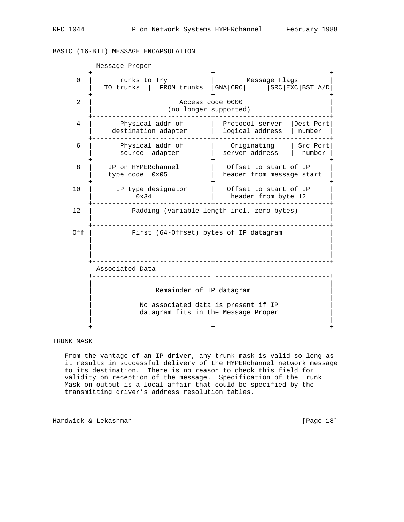# BASIC (16-BIT) MESSAGE ENCAPSULATION

| Message Proper |                                                                            |                                                                  |                     |  |  |
|----------------|----------------------------------------------------------------------------|------------------------------------------------------------------|---------------------|--|--|
| 0              | Trunks to Try<br>TO trunks                                                 | Message Flags<br>FROM trunks   GNA   CRC   SRC   EXC   BST   A/D |                     |  |  |
| 2              | Access code 0000<br>(no longer supported)                                  |                                                                  |                     |  |  |
| 4              | Physical addr of<br>destination adapter                                    | Protocol server<br>logical address                               | Dest Port<br>number |  |  |
| 6              | Physical addr of<br>source adapter                                         | Originating<br>server address                                    | Src Port<br>number  |  |  |
| 8              | IP on HYPERchannel<br>type $code$ $0x05$                                   | Offset to start of IP<br>header from message start               |                     |  |  |
| 10             | IP type designator<br>0x34                                                 | Offset to start of IP<br>header from byte 12                     |                     |  |  |
| 12             | Padding (variable length incl. zero bytes)                                 |                                                                  |                     |  |  |
| Off            | First (64-Offset) bytes of IP datagram                                     |                                                                  |                     |  |  |
|                | Associated Data<br><u> Leonardo Leonardo Le</u>                            |                                                                  |                     |  |  |
|                | Remainder of IP datagram                                                   |                                                                  |                     |  |  |
|                | No associated data is present if IP<br>datagram fits in the Message Proper |                                                                  |                     |  |  |

## TRUNK MASK

 From the vantage of an IP driver, any trunk mask is valid so long as it results in successful delivery of the HYPERchannel network message to its destination. There is no reason to check this field for validity on reception of the message. Specification of the Trunk Mask on output is a local affair that could be specified by the transmitting driver's address resolution tables.

Hardwick & Lekashman **Exercise 2018** [Page 18]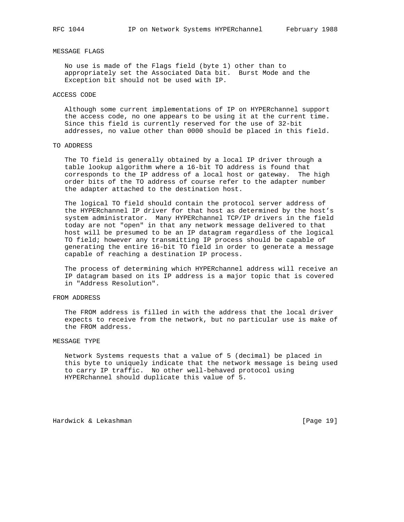#### MESSAGE FLAGS

 No use is made of the Flags field (byte 1) other than to appropriately set the Associated Data bit. Burst Mode and the Exception bit should not be used with IP.

#### ACCESS CODE

 Although some current implementations of IP on HYPERchannel support the access code, no one appears to be using it at the current time. Since this field is currently reserved for the use of 32-bit addresses, no value other than 0000 should be placed in this field.

## TO ADDRESS

 The TO field is generally obtained by a local IP driver through a table lookup algorithm where a 16-bit TO address is found that corresponds to the IP address of a local host or gateway. The high order bits of the TO address of course refer to the adapter number the adapter attached to the destination host.

 The logical TO field should contain the protocol server address of the HYPERchannel IP driver for that host as determined by the host's system administrator. Many HYPERchannel TCP/IP drivers in the field today are not "open" in that any network message delivered to that host will be presumed to be an IP datagram regardless of the logical TO field; however any transmitting IP process should be capable of generating the entire 16-bit TO field in order to generate a message capable of reaching a destination IP process.

 The process of determining which HYPERchannel address will receive an IP datagram based on its IP address is a major topic that is covered in "Address Resolution".

### FROM ADDRESS

 The FROM address is filled in with the address that the local driver expects to receive from the network, but no particular use is make of the FROM address.

#### MESSAGE TYPE

 Network Systems requests that a value of 5 (decimal) be placed in this byte to uniquely indicate that the network message is being used to carry IP traffic. No other well-behaved protocol using HYPERchannel should duplicate this value of 5.

Hardwick & Lekashman [Page 19]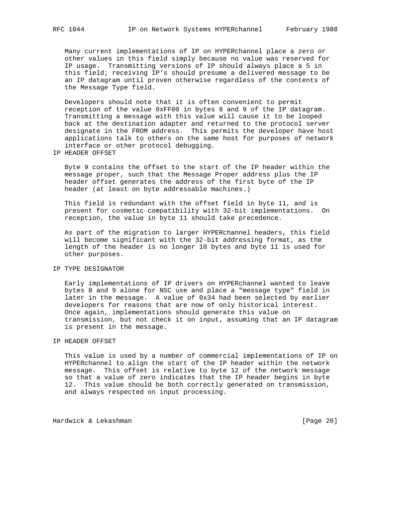Many current implementations of IP on HYPERchannel place a zero or other values in this field simply because no value was reserved for IP usage. Transmitting versions of IP should always place a 5 in this field; receiving IP's should presume a delivered message to be an IP datagram until proven otherwise regardless of the contents of the Message Type field.

 Developers should note that it is often convenient to permit reception of the value 0xFF00 in bytes 8 and 9 of the IP datagram. Transmitting a message with this value will cause it to be looped back at the destination adapter and returned to the protocol server designate in the FROM address. This permits the developer have host applications talk to others on the same host for purposes of network interface or other protocol debugging.

IP HEADER OFFSET

 Byte 9 contains the offset to the start of the IP header within the message proper, such that the Message Proper address plus the IP header offset generates the address of the first byte of the IP header (at least on byte addressable machines.)

 This field is redundant with the offset field in byte 11, and is present for cosmetic compatibility with 32-bit implementations. On reception, the value in byte 11 should take precedence.

 As part of the migration to larger HYPERchannel headers, this field will become significant with the 32-bit addressing format, as the length of the header is no longer 10 bytes and byte 11 is used for other purposes.

## IP TYPE DESIGNATOR

 Early implementations of IP drivers on HYPERchannel wanted to leave bytes 8 and 9 alone for NSC use and place a "message type" field in later in the message. A value of 0x34 had been selected by earlier developers for reasons that are now of only historical interest. Once again, implementations should generate this value on transmission, but not check it on input, assuming that an IP datagram is present in the message.

## IP HEADER OFFSET

 This value is used by a number of commercial implementations of IP on HYPERchannel to align the start of the IP header within the network message. This offset is relative to byte 12 of the network message so that a value of zero indicates that the IP header begins in byte 12. This value should be both correctly generated on transmission, and always respected on input processing.

Hardwick & Lekashman [Page 20]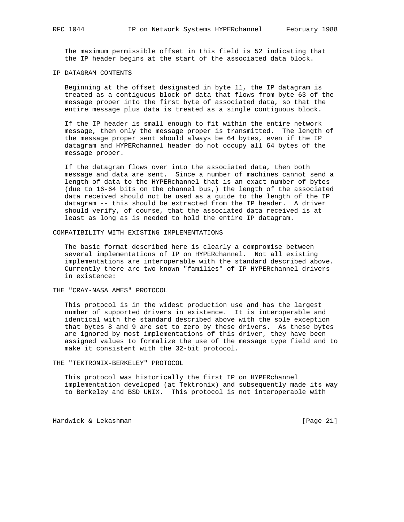The maximum permissible offset in this field is 52 indicating that the IP header begins at the start of the associated data block.

#### IP DATAGRAM CONTENTS

 Beginning at the offset designated in byte 11, the IP datagram is treated as a contiguous block of data that flows from byte 63 of the message proper into the first byte of associated data, so that the entire message plus data is treated as a single contiguous block.

 If the IP header is small enough to fit within the entire network message, then only the message proper is transmitted. The length of the message proper sent should always be 64 bytes, even if the IP datagram and HYPERchannel header do not occupy all 64 bytes of the message proper.

 If the datagram flows over into the associated data, then both message and data are sent. Since a number of machines cannot send a length of data to the HYPERchannel that is an exact number of bytes (due to 16-64 bits on the channel bus,) the length of the associated data received should not be used as a guide to the length of the IP datagram -- this should be extracted from the IP header. A driver should verify, of course, that the associated data received is at least as long as is needed to hold the entire IP datagram.

#### COMPATIBILITY WITH EXISTING IMPLEMENTATIONS

 The basic format described here is clearly a compromise between several implementations of IP on HYPERchannel. Not all existing implementations are interoperable with the standard described above. Currently there are two known "families" of IP HYPERchannel drivers in existence:

THE "CRAY-NASA AMES" PROTOCOL

 This protocol is in the widest production use and has the largest number of supported drivers in existence. It is interoperable and identical with the standard described above with the sole exception that bytes 8 and 9 are set to zero by these drivers. As these bytes are ignored by most implementations of this driver, they have been assigned values to formalize the use of the message type field and to make it consistent with the 32-bit protocol.

THE "TEKTRONIX-BERKELEY" PROTOCOL

 This protocol was historically the first IP on HYPERchannel implementation developed (at Tektronix) and subsequently made its way to Berkeley and BSD UNIX. This protocol is not interoperable with

Hardwick & Lekashman **Exercise 21** and the set of the set of the set of the set of the set of the set of the set of the set of the set of the set of the set of the set of the set of the set of the set of the set of the set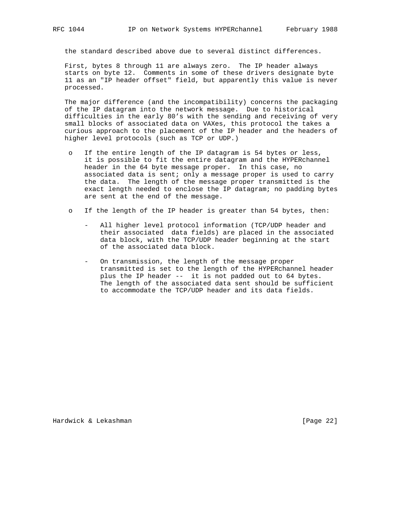the standard described above due to several distinct differences.

 First, bytes 8 through 11 are always zero. The IP header always starts on byte 12. Comments in some of these drivers designate byte 11 as an "IP header offset" field, but apparently this value is never processed.

 The major difference (and the incompatibility) concerns the packaging of the IP datagram into the network message. Due to historical difficulties in the early 80's with the sending and receiving of very small blocks of associated data on VAXes, this protocol the takes a curious approach to the placement of the IP header and the headers of higher level protocols (such as TCP or UDP.)

- If the entire length of the IP datagram is 54 bytes or less, it is possible to fit the entire datagram and the HYPERchannel header in the 64 byte message proper. In this case, no associated data is sent; only a message proper is used to carry the data. The length of the message proper transmitted is the exact length needed to enclose the IP datagram; no padding bytes are sent at the end of the message.
- o If the length of the IP header is greater than 54 bytes, then:
	- All higher level protocol information (TCP/UDP header and their associated data fields) are placed in the associated data block, with the TCP/UDP header beginning at the start of the associated data block.
	- On transmission, the length of the message proper transmitted is set to the length of the HYPERchannel header plus the IP header -- it is not padded out to 64 bytes. The length of the associated data sent should be sufficient to accommodate the TCP/UDP header and its data fields.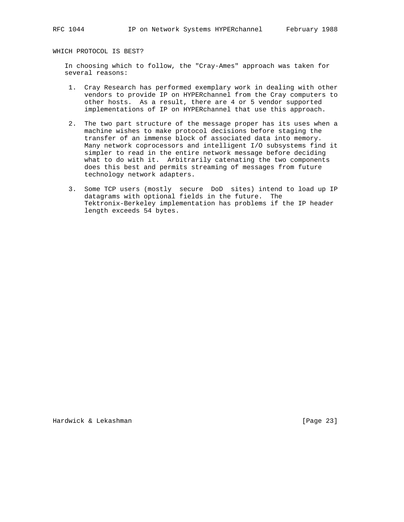WHICH PROTOCOL IS BEST?

 In choosing which to follow, the "Cray-Ames" approach was taken for several reasons:

- 1. Cray Research has performed exemplary work in dealing with other vendors to provide IP on HYPERchannel from the Cray computers to other hosts. As a result, there are 4 or 5 vendor supported implementations of IP on HYPERchannel that use this approach.
- 2. The two part structure of the message proper has its uses when a machine wishes to make protocol decisions before staging the transfer of an immense block of associated data into memory. Many network coprocessors and intelligent I/O subsystems find it simpler to read in the entire network message before deciding what to do with it. Arbitrarily catenating the two components does this best and permits streaming of messages from future technology network adapters.
- 3. Some TCP users (mostly secure DoD sites) intend to load up IP datagrams with optional fields in the future. The Tektronix-Berkeley implementation has problems if the IP header length exceeds 54 bytes.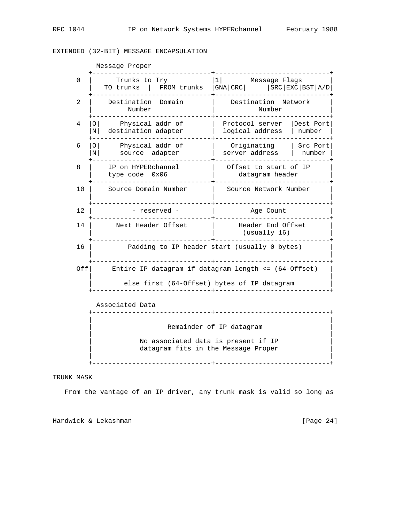## EXTENDED (32-BIT) MESSAGE ENCAPSULATION

 Message Proper +------------------------------+-----------------------------+ 0 | Trunks to Try |1| Message Flags | | TO trunks | FROM trunks |GNA|CRC| |SRC|EXC|BST|A/D| +------------------------------+-----------------------------+ 2 | Destination Domain | Destination Network | Number | Number | +------------------------------+-----------------------------+ 4 |O| Physical addr of | Protocol server |Dest Port| |N| destination adapter | logical address | number | +------------------------------+-----------------------------+ 6 |O| Physical addr of | Originating | Src Port| |N| source adapter | server address | number | +------------------------------+-----------------------------+ 8 | IP on HYPERchannel | Offset to start of IP | | type code 0x06 | datagram header | +------------------------------+-----------------------------+ 10 | Source Domain Number | Source Network Number | | | +------------------------------+-----------------------------+ 12 | - reserved - | Age Count +------------------------------+-----------------------------+ 14 | Next Header Offset | Header End Offset | | | (usually 16) | +------------------------------+-----------------------------+ 16 | Padding to IP header start (usually 0 bytes) | | | +------------------------------+-----------------------------+ Off| Entire IP datagram if datagram length <= (64-Offset) | | | else first (64-Offset) bytes of IP datagram +------------------------------+-----------------------------+ Associated Data +------------------------------+-----------------------------+ | | Remainder of IP datagram | | No associated data is present if IP datagram fits in the Message Proper | |

TRUNK MASK

From the vantage of an IP driver, any trunk mask is valid so long as

+------------------------------+-----------------------------+

Hardwick & Lekashman [Page 24]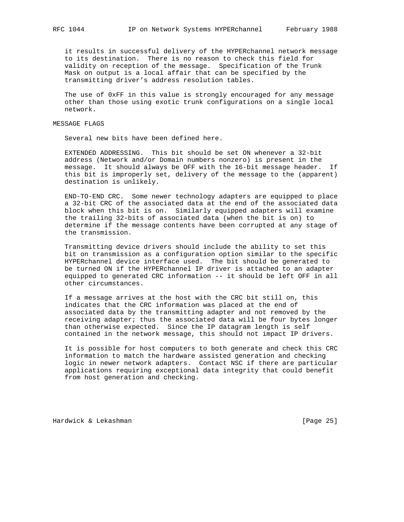it results in successful delivery of the HYPERchannel network message to its destination. There is no reason to check this field for validity on reception of the message. Specification of the Trunk Mask on output is a local affair that can be specified by the transmitting driver's address resolution tables.

 The use of 0xFF in this value is strongly encouraged for any message other than those using exotic trunk configurations on a single local network.

## MESSAGE FLAGS

Several new bits have been defined here.

 EXTENDED ADDRESSING. This bit should be set ON whenever a 32-bit address (Network and/or Domain numbers nonzero) is present in the message. It should always be OFF with the 16-bit message header. If this bit is improperly set, delivery of the message to the (apparent) destination is unlikely.

 END-TO-END CRC. Some newer technology adapters are equipped to place a 32-bit CRC of the associated data at the end of the associated data block when this bit is on. Similarly equipped adapters will examine the trailing 32-bits of associated data (when the bit is on) to determine if the message contents have been corrupted at any stage of the transmission.

 Transmitting device drivers should include the ability to set this bit on transmission as a configuration option similar to the specific HYPERchannel device interface used. The bit should be generated to be turned ON if the HYPERchannel IP driver is attached to an adapter equipped to generated CRC information -- it should be left OFF in all other circumstances.

 If a message arrives at the host with the CRC bit still on, this indicates that the CRC information was placed at the end of associated data by the transmitting adapter and not removed by the receiving adapter; thus the associated data will be four bytes longer than otherwise expected. Since the IP datagram length is self contained in the network message, this should not impact IP drivers.

 It is possible for host computers to both generate and check this CRC information to match the hardware assisted generation and checking logic in newer network adapters. Contact NSC if there are particular applications requiring exceptional data integrity that could benefit from host generation and checking.

Hardwick & Lekashman [Page 25]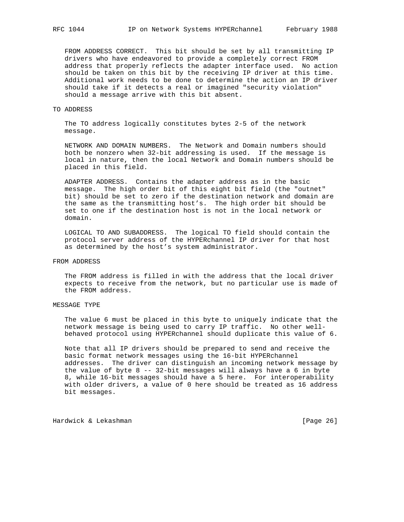FROM ADDRESS CORRECT. This bit should be set by all transmitting IP drivers who have endeavored to provide a completely correct FROM address that properly reflects the adapter interface used. No action should be taken on this bit by the receiving IP driver at this time. Additional work needs to be done to determine the action an IP driver should take if it detects a real or imagined "security violation" should a message arrive with this bit absent.

#### TO ADDRESS

 The TO address logically constitutes bytes 2-5 of the network message.

 NETWORK AND DOMAIN NUMBERS. The Network and Domain numbers should both be nonzero when 32-bit addressing is used. If the message is local in nature, then the local Network and Domain numbers should be placed in this field.

 ADAPTER ADDRESS. Contains the adapter address as in the basic message. The high order bit of this eight bit field (the "outnet" bit) should be set to zero if the destination network and domain are the same as the transmitting host's. The high order bit should be set to one if the destination host is not in the local network or domain.

 LOGICAL TO AND SUBADDRESS. The logical TO field should contain the protocol server address of the HYPERchannel IP driver for that host as determined by the host's system administrator.

## FROM ADDRESS

 The FROM address is filled in with the address that the local driver expects to receive from the network, but no particular use is made of the FROM address.

## MESSAGE TYPE

 The value 6 must be placed in this byte to uniquely indicate that the network message is being used to carry IP traffic. No other well behaved protocol using HYPERchannel should duplicate this value of 6.

 Note that all IP drivers should be prepared to send and receive the basic format network messages using the 16-bit HYPERchannel addresses. The driver can distinguish an incoming network message by the value of byte 8 -- 32-bit messages will always have a 6 in byte 8, while 16-bit messages should have a 5 here. For interoperability with older drivers, a value of 0 here should be treated as 16 address bit messages.

Hardwick & Lekashman **Example 26** and the set of the set of the set of the set of the set of the set of the set o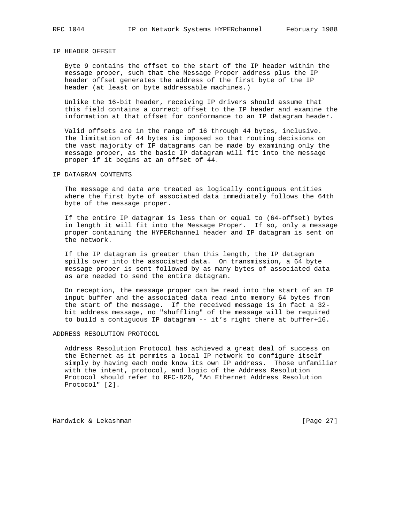## IP HEADER OFFSET

 Byte 9 contains the offset to the start of the IP header within the message proper, such that the Message Proper address plus the IP header offset generates the address of the first byte of the IP header (at least on byte addressable machines.)

 Unlike the 16-bit header, receiving IP drivers should assume that this field contains a correct offset to the IP header and examine the information at that offset for conformance to an IP datagram header.

 Valid offsets are in the range of 16 through 44 bytes, inclusive. The limitation of 44 bytes is imposed so that routing decisions on the vast majority of IP datagrams can be made by examining only the message proper, as the basic IP datagram will fit into the message proper if it begins at an offset of 44.

#### IP DATAGRAM CONTENTS

 The message and data are treated as logically contiguous entities where the first byte of associated data immediately follows the 64th byte of the message proper.

 If the entire IP datagram is less than or equal to (64-offset) bytes in length it will fit into the Message Proper. If so, only a message proper containing the HYPERchannel header and IP datagram is sent on the network.

 If the IP datagram is greater than this length, the IP datagram spills over into the associated data. On transmission, a 64 byte message proper is sent followed by as many bytes of associated data as are needed to send the entire datagram.

 On reception, the message proper can be read into the start of an IP input buffer and the associated data read into memory 64 bytes from the start of the message. If the received message is in fact a 32 bit address message, no "shuffling" of the message will be required to build a contiguous IP datagram -- it's right there at buffer+16.

#### ADDRESS RESOLUTION PROTOCOL

 Address Resolution Protocol has achieved a great deal of success on the Ethernet as it permits a local IP network to configure itself simply by having each node know its own IP address. Those unfamiliar with the intent, protocol, and logic of the Address Resolution Protocol should refer to RFC-826, "An Ethernet Address Resolution Protocol" [2].

Hardwick & Lekashman **Example 27** and the set of the set of the set of the set of the set of the set of the set o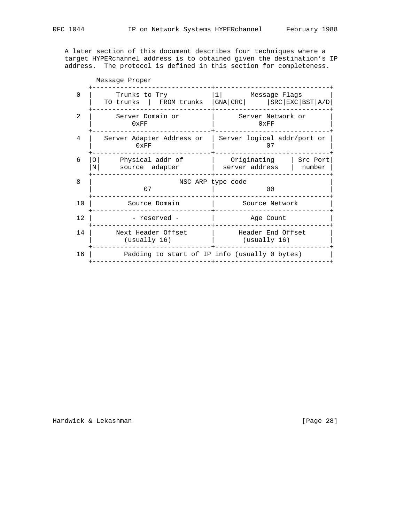A later section of this document describes four techniques where a target HYPERchannel address is to obtained given the destination's IP address. The protocol is defined in this section for completeness.

| Message Proper |                                                     |                                                                                           |  |  |
|----------------|-----------------------------------------------------|-------------------------------------------------------------------------------------------|--|--|
| 0              | Trunks to Try                                       | 1            Message Flags<br>TO trunks   FROM trunks   GNA   CRC   SRC   EXC   BST   A/D |  |  |
| 2              | Server Domain or<br>0xFF                            | Server Network or<br>0xFF                                                                 |  |  |
| 4              | Server Adapter Address or<br>0xFF                   | Server logical addr/port or<br>07                                                         |  |  |
| 6              | Physical addr of<br>$\Omega$<br>source adapter<br>N | Originating<br>Src Port<br>server address<br>number                                       |  |  |
| 8              | 07                                                  | NSC ARP type code<br>0 <sub>0</sub>                                                       |  |  |
| 10             | Source Domain                                       | Source Network                                                                            |  |  |
| 12             | - reserved -                                        | Age Count                                                                                 |  |  |
| 14             | Next Header Offset<br>(usually 16)                  | Header End Offset<br>(usually 16)                                                         |  |  |
| 16             | Padding to start of IP info (usually 0 bytes)       |                                                                                           |  |  |
|                |                                                     |                                                                                           |  |  |

Hardwick & Lekashman **Exercise 28** and the extendion of the extendion of the extendion of the extendion of the extendion of the extendion of the extendion of the extendion of the extendion of the extendion of the extendion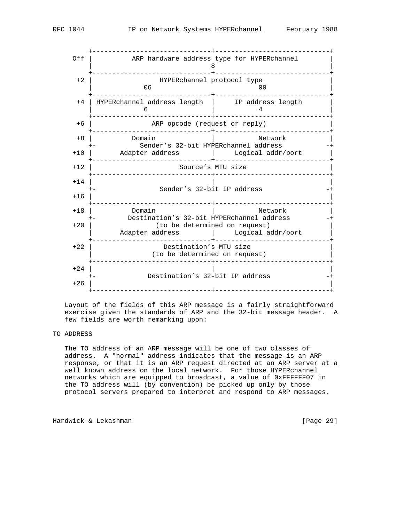+------------------------------+-----------------------------+ Off | ARP hardware address type for HYPERchannel | | 8 | +------------------------------+-----------------------------+ +2 | HYPERchannel protocol type | | 06 00 | +------------------------------+-----------------------------+ +4 | HYPERchannel address length | IP address length |  $\begin{array}{ccc} 6 & & & \end{array}$  and  $\begin{array}{ccc} 4 & & \end{array}$  +------------------------------+-----------------------------+ +6 | ARP opcode (request or reply) | +------------------------------+-----------------------------+ +8 | Domain | Network | +- Sender's 32-bit HYPERchannel address -+ +10 | Adapter address | Logical addr/port | +------------------------------+-----------------------------+ Source's MTU size +------------------------------+-----------------------------+  $+14$  | Sender's 32-bit IP address  $+16$  | +------------------------------+-----------------------------+ +18 | Domain | Network | +- Destination's 32-bit HYPERchannel address -- +20 | (to be determined on request) | | Adapter address | Logical addr/port | +------------------------------+-----------------------------+ +22 | Destination's MTU size | | (to be determined on request) | +------------------------------+-----------------------------+  $+24$  | +- Destination's 32-bit IP address -+  $+26$  | +------------------------------+-----------------------------+

 Layout of the fields of this ARP message is a fairly straightforward exercise given the standards of ARP and the 32-bit message header. A few fields are worth remarking upon:

## TO ADDRESS

 The TO address of an ARP message will be one of two classes of address. A "normal" address indicates that the message is an ARP response, or that it is an ARP request directed at an ARP server at a well known address on the local network. For those HYPERchannel networks which are equipped to broadcast, a value of 0xFFFFFF07 in the TO address will (by convention) be picked up only by those protocol servers prepared to interpret and respond to ARP messages.

Hardwick & Lekashman [Page 29]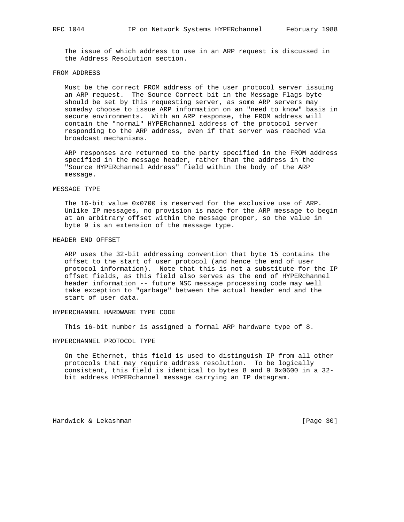The issue of which address to use in an ARP request is discussed in the Address Resolution section.

#### FROM ADDRESS

 Must be the correct FROM address of the user protocol server issuing an ARP request. The Source Correct bit in the Message Flags byte should be set by this requesting server, as some ARP servers may someday choose to issue ARP information on an "need to know" basis in secure environments. With an ARP response, the FROM address will contain the "normal" HYPERchannel address of the protocol server responding to the ARP address, even if that server was reached via broadcast mechanisms.

 ARP responses are returned to the party specified in the FROM address specified in the message header, rather than the address in the "Source HYPERchannel Address" field within the body of the ARP message.

#### MESSAGE TYPE

 The 16-bit value 0x0700 is reserved for the exclusive use of ARP. Unlike IP messages, no provision is made for the ARP message to begin at an arbitrary offset within the message proper, so the value in byte 9 is an extension of the message type.

#### HEADER END OFFSET

 ARP uses the 32-bit addressing convention that byte 15 contains the offset to the start of user protocol (and hence the end of user protocol information). Note that this is not a substitute for the IP offset fields, as this field also serves as the end of HYPERchannel header information -- future NSC message processing code may well take exception to "garbage" between the actual header end and the start of user data.

## HYPERCHANNEL HARDWARE TYPE CODE

This 16-bit number is assigned a formal ARP hardware type of 8.

#### HYPERCHANNEL PROTOCOL TYPE

 On the Ethernet, this field is used to distinguish IP from all other protocols that may require address resolution. To be logically consistent, this field is identical to bytes 8 and 9 0x0600 in a 32 bit address HYPERchannel message carrying an IP datagram.

Hardwick & Lekashman [Page 30]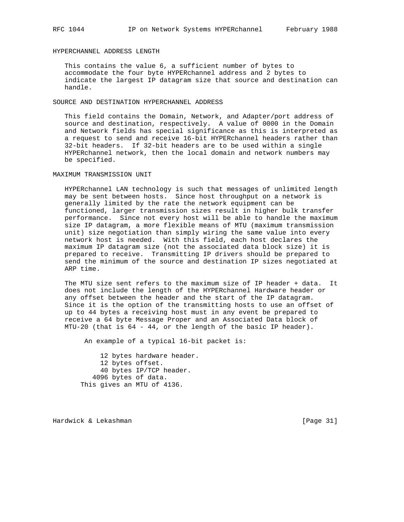## HYPERCHANNEL ADDRESS LENGTH

 This contains the value 6, a sufficient number of bytes to accommodate the four byte HYPERchannel address and 2 bytes to indicate the largest IP datagram size that source and destination can handle.

SOURCE AND DESTINATION HYPERCHANNEL ADDRESS

 This field contains the Domain, Network, and Adapter/port address of source and destination, respectively. A value of 0000 in the Domain and Network fields has special significance as this is interpreted as a request to send and receive 16-bit HYPERchannel headers rather than 32-bit headers. If 32-bit headers are to be used within a single HYPERchannel network, then the local domain and network numbers may be specified.

#### MAXIMUM TRANSMISSION UNIT

 HYPERchannel LAN technology is such that messages of unlimited length may be sent between hosts. Since host throughput on a network is generally limited by the rate the network equipment can be functioned, larger transmission sizes result in higher bulk transfer performance. Since not every host will be able to handle the maximum size IP datagram, a more flexible means of MTU (maximum transmission unit) size negotiation than simply wiring the same value into every network host is needed. With this field, each host declares the maximum IP datagram size (not the associated data block size) it is prepared to receive. Transmitting IP drivers should be prepared to send the minimum of the source and destination IP sizes negotiated at ARP time.

 The MTU size sent refers to the maximum size of IP header + data. It does not include the length of the HYPERchannel Hardware header or any offset between the header and the start of the IP datagram. Since it is the option of the transmitting hosts to use an offset of up to 44 bytes a receiving host must in any event be prepared to receive a 64 byte Message Proper and an Associated Data block of MTU-20 (that is 64 - 44, or the length of the basic IP header).

An example of a typical 16-bit packet is:

 12 bytes hardware header. 12 bytes offset. 40 bytes IP/TCP header. 4096 bytes of data. This gives an MTU of 4136.

Hardwick & Lekashman [Page 31]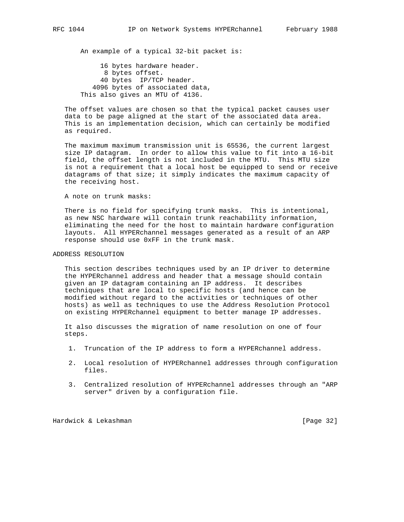An example of a typical 32-bit packet is:

 16 bytes hardware header. 8 bytes offset. 40 bytes IP/TCP header. 4096 bytes of associated data, This also gives an MTU of 4136.

 The offset values are chosen so that the typical packet causes user data to be page aligned at the start of the associated data area. This is an implementation decision, which can certainly be modified as required.

 The maximum maximum transmission unit is 65536, the current largest size IP datagram. In order to allow this value to fit into a 16-bit field, the offset length is not included in the MTU. This MTU size is not a requirement that a local host be equipped to send or receive datagrams of that size; it simply indicates the maximum capacity of the receiving host.

A note on trunk masks:

 There is no field for specifying trunk masks. This is intentional, as new NSC hardware will contain trunk reachability information, eliminating the need for the host to maintain hardware configuration layouts. All HYPERchannel messages generated as a result of an ARP response should use 0xFF in the trunk mask.

## ADDRESS RESOLUTION

 This section describes techniques used by an IP driver to determine the HYPERchannel address and header that a message should contain given an IP datagram containing an IP address. It describes techniques that are local to specific hosts (and hence can be modified without regard to the activities or techniques of other hosts) as well as techniques to use the Address Resolution Protocol on existing HYPERchannel equipment to better manage IP addresses.

 It also discusses the migration of name resolution on one of four steps.

- 1. Truncation of the IP address to form a HYPERchannel address.
- 2. Local resolution of HYPERchannel addresses through configuration files.
- 3. Centralized resolution of HYPERchannel addresses through an "ARP server" driven by a configuration file.

Hardwick & Lekashman [Page 32]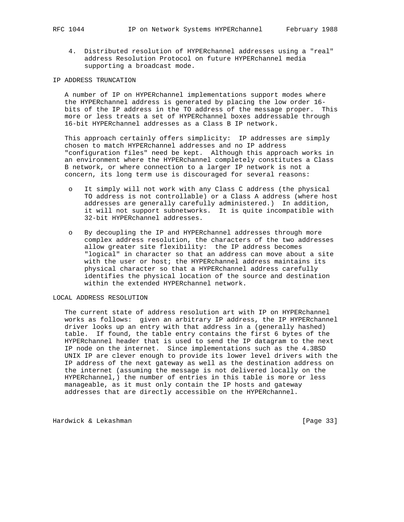4. Distributed resolution of HYPERchannel addresses using a "real" address Resolution Protocol on future HYPERchannel media supporting a broadcast mode.

## IP ADDRESS TRUNCATION

 A number of IP on HYPERchannel implementations support modes where the HYPERchannel address is generated by placing the low order 16 bits of the IP address in the TO address of the message proper. This more or less treats a set of HYPERchannel boxes addressable through 16-bit HYPERchannel addresses as a Class B IP network.

 This approach certainly offers simplicity: IP addresses are simply chosen to match HYPERchannel addresses and no IP address "configuration files" need be kept. Although this approach works in an environment where the HYPERchannel completely constitutes a Class B network, or where connection to a larger IP network is not a concern, its long term use is discouraged for several reasons:

- o It simply will not work with any Class C address (the physical TO address is not controllable) or a Class A address (where host addresses are generally carefully administered.) In addition, it will not support subnetworks. It is quite incompatible with 32-bit HYPERchannel addresses.
- o By decoupling the IP and HYPERchannel addresses through more complex address resolution, the characters of the two addresses allow greater site flexibility: the IP address becomes "logical" in character so that an address can move about a site with the user or host; the HYPERchannel address maintains its physical character so that a HYPERchannel address carefully identifies the physical location of the source and destination within the extended HYPERchannel network.

## LOCAL ADDRESS RESOLUTION

 The current state of address resolution art with IP on HYPERchannel works as follows: given an arbitrary IP address, the IP HYPERchannel driver looks up an entry with that address in a (generally hashed) table. If found, the table entry contains the first 6 bytes of the HYPERchannel header that is used to send the IP datagram to the next IP node on the internet. Since implementations such as the 4.3BSD UNIX IP are clever enough to provide its lower level drivers with the IP address of the next gateway as well as the destination address on the internet (assuming the message is not delivered locally on the HYPERchannel,) the number of entries in this table is more or less manageable, as it must only contain the IP hosts and gateway addresses that are directly accessible on the HYPERchannel.

Hardwick & Lekashman [Page 33]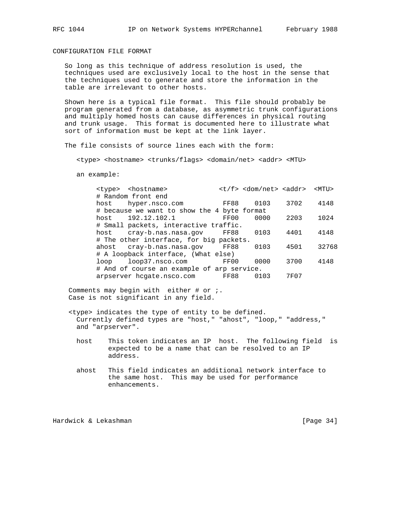CONFIGURATION FILE FORMAT

 So long as this technique of address resolution is used, the techniques used are exclusively local to the host in the sense that the techniques used to generate and store the information in the table are irrelevant to other hosts.

 Shown here is a typical file format. This file should probably be program generated from a database, as asymmetric trunk configurations and multiply homed hosts can cause differences in physical routing and trunk usage. This format is documented here to illustrate what sort of information must be kept at the link layer.

The file consists of source lines each with the form:

<type> <hostname> <trunks/flags> <domain/net> <addr> <MTU>

an example:

| # Random front end                                |       |
|---------------------------------------------------|-------|
|                                                   |       |
| 3702<br>FF88<br>0103<br>hyper.nsco.com<br>host    | 4148  |
| # because we want to show the 4 byte format       |       |
| 192.12.102.1<br>0000<br>2203<br>FF00<br>host      | 1024  |
| # Small packets, interactive traffic.             |       |
| cray-b.nas.nasa.qov FF88<br>0103<br>4401<br>host  | 4148  |
| # The other interface, for big packets.           |       |
| FF88<br>4501<br>ahost cray-b.nas.nasa.gov<br>0103 | 32768 |
| # A loopback interface, (What else)               |       |
| 3700<br>FF00<br>0000<br>loop37.nsco.com<br>loop   | 4148  |
| # And of course an example of arp service.        |       |
| FF88<br>arpserver hogate.nsco.com<br>7F07<br>0103 |       |

Comments may begin with either  $#$  or  $i$ . Case is not significant in any field.

- <type> indicates the type of entity to be defined. Currently defined types are "host," "ahost", "loop," "address," and "arpserver".
	- host This token indicates an IP host. The following field is expected to be a name that can be resolved to an IP address.
	- ahost This field indicates an additional network interface to the same host. This may be used for performance enhancements.

Hardwick & Lekashman [Page 34]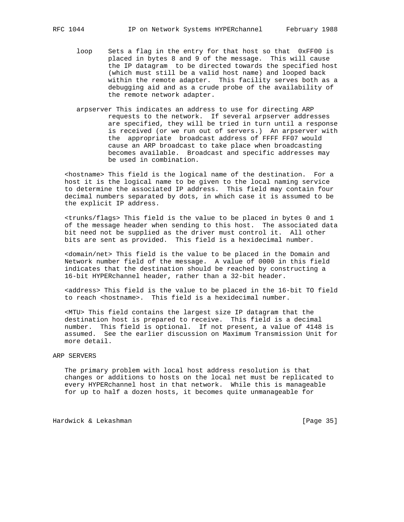- loop Sets a flag in the entry for that host so that 0xFF00 is placed in bytes 8 and 9 of the message. This will cause the IP datagram to be directed towards the specified host (which must still be a valid host name) and looped back within the remote adapter. This facility serves both as a debugging aid and as a crude probe of the availability of the remote network adapter.
- arpserver This indicates an address to use for directing ARP requests to the network. If several arpserver addresses are specified, they will be tried in turn until a response is received (or we run out of servers.) An arpserver with the appropriate broadcast address of FFFF FF07 would cause an ARP broadcast to take place when broadcasting becomes available. Broadcast and specific addresses may be used in combination.

 <hostname> This field is the logical name of the destination. For a host it is the logical name to be given to the local naming service to determine the associated IP address. This field may contain four decimal numbers separated by dots, in which case it is assumed to be the explicit IP address.

 <trunks/flags> This field is the value to be placed in bytes 0 and 1 of the message header when sending to this host. The associated data bit need not be supplied as the driver must control it. All other bits are sent as provided. This field is a hexidecimal number.

 <domain/net> This field is the value to be placed in the Domain and Network number field of the message. A value of 0000 in this field indicates that the destination should be reached by constructing a 16-bit HYPERchannel header, rather than a 32-bit header.

 <address> This field is the value to be placed in the 16-bit TO field to reach <hostname>. This field is a hexidecimal number.

 <MTU> This field contains the largest size IP datagram that the destination host is prepared to receive. This field is a decimal number. This field is optional. If not present, a value of 4148 is assumed. See the earlier discussion on Maximum Transmission Unit for more detail.

## ARP SERVERS

 The primary problem with local host address resolution is that changes or additions to hosts on the local net must be replicated to every HYPERchannel host in that network. While this is manageable for up to half a dozen hosts, it becomes quite unmanageable for

Hardwick & Lekashman [Page 35]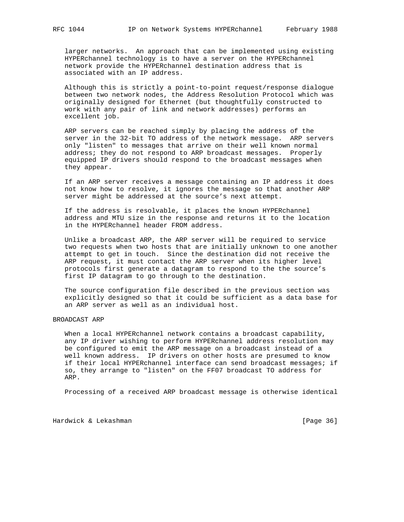larger networks. An approach that can be implemented using existing HYPERchannel technology is to have a server on the HYPERchannel network provide the HYPERchannel destination address that is associated with an IP address.

 Although this is strictly a point-to-point request/response dialogue between two network nodes, the Address Resolution Protocol which was originally designed for Ethernet (but thoughtfully constructed to work with any pair of link and network addresses) performs an excellent job.

 ARP servers can be reached simply by placing the address of the server in the 32-bit TO address of the network message. ARP servers only "listen" to messages that arrive on their well known normal address; they do not respond to ARP broadcast messages. Properly equipped IP drivers should respond to the broadcast messages when they appear.

 If an ARP server receives a message containing an IP address it does not know how to resolve, it ignores the message so that another ARP server might be addressed at the source's next attempt.

 If the address is resolvable, it places the known HYPERchannel address and MTU size in the response and returns it to the location in the HYPERchannel header FROM address.

 Unlike a broadcast ARP, the ARP server will be required to service two requests when two hosts that are initially unknown to one another attempt to get in touch. Since the destination did not receive the ARP request, it must contact the ARP server when its higher level protocols first generate a datagram to respond to the the source's first IP datagram to go through to the destination.

 The source configuration file described in the previous section was explicitly designed so that it could be sufficient as a data base for an ARP server as well as an individual host.

## BROADCAST ARP

 When a local HYPERchannel network contains a broadcast capability, any IP driver wishing to perform HYPERchannel address resolution may be configured to emit the ARP message on a broadcast instead of a well known address. IP drivers on other hosts are presumed to know if their local HYPERchannel interface can send broadcast messages; if so, they arrange to "listen" on the FF07 broadcast TO address for ARP.

Processing of a received ARP broadcast message is otherwise identical

Hardwick & Lekashman [Page 36]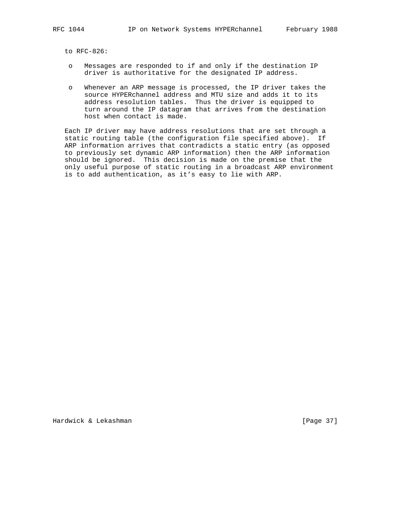to RFC-826:

- o Messages are responded to if and only if the destination IP driver is authoritative for the designated IP address.
- o Whenever an ARP message is processed, the IP driver takes the source HYPERchannel address and MTU size and adds it to its address resolution tables. Thus the driver is equipped to turn around the IP datagram that arrives from the destination host when contact is made.

 Each IP driver may have address resolutions that are set through a static routing table (the configuration file specified above). If ARP information arrives that contradicts a static entry (as opposed to previously set dynamic ARP information) then the ARP information should be ignored. This decision is made on the premise that the only useful purpose of static routing in a broadcast ARP environment is to add authentication, as it's easy to lie with ARP.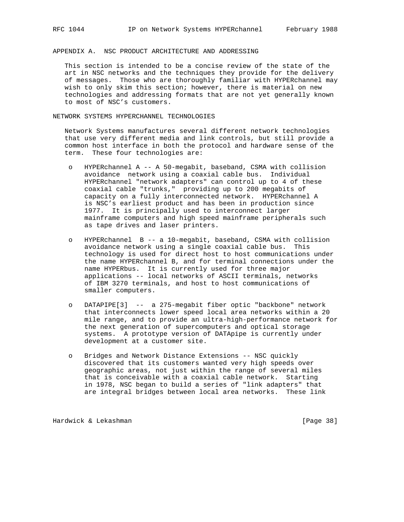APPENDIX A. NSC PRODUCT ARCHITECTURE AND ADDRESSING

 This section is intended to be a concise review of the state of the art in NSC networks and the techniques they provide for the delivery of messages. Those who are thoroughly familiar with HYPERchannel may wish to only skim this section; however, there is material on new technologies and addressing formats that are not yet generally known to most of NSC's customers.

NETWORK SYSTEMS HYPERCHANNEL TECHNOLOGIES

 Network Systems manufactures several different network technologies that use very different media and link controls, but still provide a common host interface in both the protocol and hardware sense of the term. These four technologies are:

- o HYPERchannel A -- A 50-megabit, baseband, CSMA with collision avoidance network using a coaxial cable bus. Individual HYPERchannel "network adapters" can control up to 4 of these coaxial cable "trunks," providing up to 200 megabits of capacity on a fully interconnected network. HYPERchannel A is NSC's earliest product and has been in production since 1977. It is principally used to interconnect larger mainframe computers and high speed mainframe peripherals such as tape drives and laser printers.
- o HYPERchannel B -- a 10-megabit, baseband, CSMA with collision avoidance network using a single coaxial cable bus. This technology is used for direct host to host communications under the name HYPERchannel B, and for terminal connections under the name HYPERbus. It is currently used for three major applications -- local networks of ASCII terminals, networks of IBM 3270 terminals, and host to host communications of smaller computers.
- o DATAPIPE[3] -- a 275-megabit fiber optic "backbone" network that interconnects lower speed local area networks within a 20 mile range, and to provide an ultra-high-performance network for the next generation of supercomputers and optical storage systems. A prototype version of DATApipe is currently under development at a customer site.
- o Bridges and Network Distance Extensions -- NSC quickly discovered that its customers wanted very high speeds over geographic areas, not just within the range of several miles that is conceivable with a coaxial cable network. Starting in 1978, NSC began to build a series of "link adapters" that are integral bridges between local area networks. These link

Hardwick & Lekashman **Example 28** and the set of the set of the set of the set of the set of the set of the set o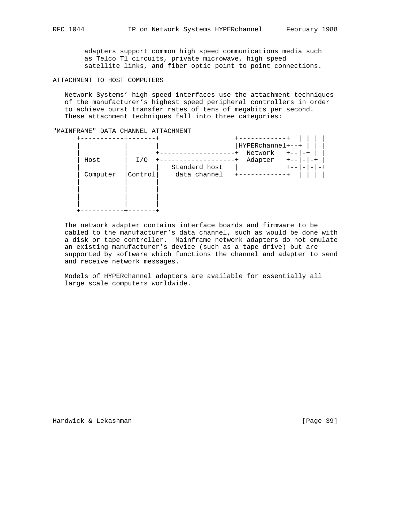adapters support common high speed communications media such as Telco T1 circuits, private microwave, high speed satellite links, and fiber optic point to point connections.

ATTACHMENT TO HOST COMPUTERS

 Network Systems' high speed interfaces use the attachment techniques of the manufacturer's highest speed peripheral controllers in order to achieve burst transfer rates of tens of megabits per second. These attachment techniques fall into three categories:

## "MAINFRAME" DATA CHANNEL ATTACHMENT

|          |         |               | HYPERchannel+--+       |                          |      |
|----------|---------|---------------|------------------------|--------------------------|------|
|          |         |               | Network                | $+ - - - - +$            |      |
| Host     | I/O     |               | Adapter<br>$+ - - 1 -$ |                          | $-+$ |
|          |         | Standard host |                        | $\overline{\phantom{0}}$ |      |
| Computer | Control | data channel  |                        |                          |      |
|          |         |               |                        |                          |      |
|          |         |               |                        |                          |      |
|          |         |               |                        |                          |      |
|          |         |               |                        |                          |      |
|          |         |               |                        |                          |      |

 The network adapter contains interface boards and firmware to be cabled to the manufacturer's data channel, such as would be done with a disk or tape controller. Mainframe network adapters do not emulate an existing manufacturer's device (such as a tape drive) but are supported by software which functions the channel and adapter to send and receive network messages.

 Models of HYPERchannel adapters are available for essentially all large scale computers worldwide.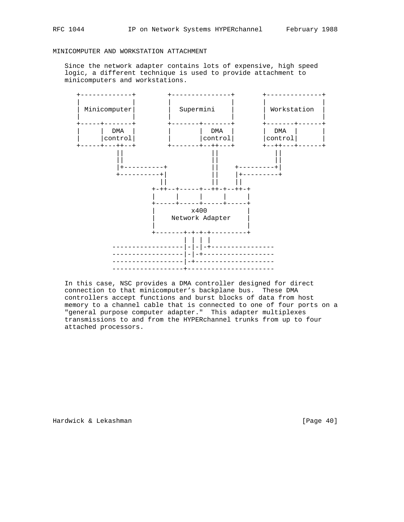## MINICOMPUTER AND WORKSTATION ATTACHMENT

 Since the network adapter contains lots of expensive, high speed logic, a different technique is used to provide attachment to minicomputers and workstations.



 In this case, NSC provides a DMA controller designed for direct connection to that minicomputer's backplane bus. These DMA controllers accept functions and burst blocks of data from host memory to a channel cable that is connected to one of four ports on a "general purpose computer adapter." This adapter multiplexes transmissions to and from the HYPERchannel trunks from up to four attached processors.

Hardwick & Lekashman [Page 40]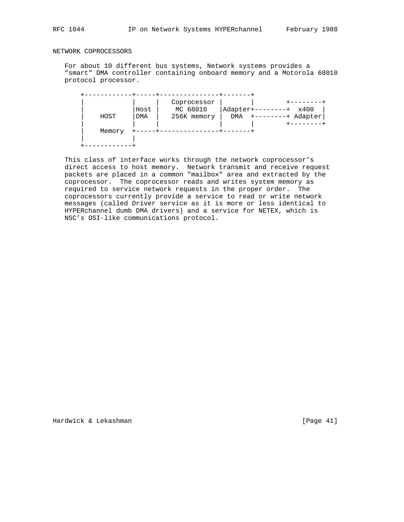## NETWORK COPROCESSORS

 For about 10 different bus systems, Network systems provides a "smart" DMA controller containing onboard memory and a Motorola 68010 protocol processor.

|        | Host | Coprocessor<br>MC 68010 | Adapter+   | x400    |
|--------|------|-------------------------|------------|---------|
| HOST   | DMA  | 256K memory             | <b>DMA</b> | Adapter |
|        |      |                         |            |         |
| Memory |      |                         |            |         |
|        |      |                         |            |         |
|        |      |                         |            |         |

 This class of interface works through the network coprocessor's direct access to host memory. Network transmit and receive request packets are placed in a common "mailbox" area and extracted by the coprocessor. The coprocessor reads and writes system memory as required to service network requests in the proper order. The coprocessors currently provide a service to read or write network messages (called Driver service as it is more or less identical to HYPERchannel dumb DMA drivers) and a service for NETEX, which is NSC's OSI-like communications protocol.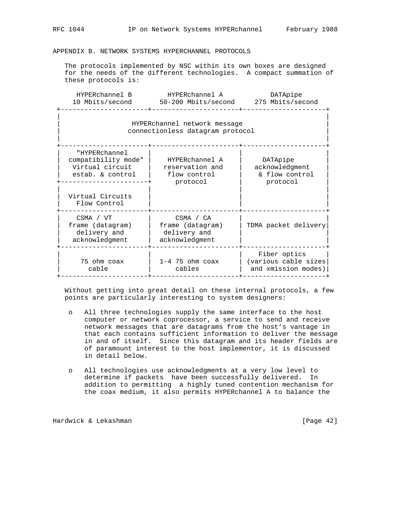## APPENDIX B. NETWORK SYSTEMS HYPERCHANNEL PROTOCOLS

 The protocols implemented by NSC within its own boxes are designed for the needs of the different technologies. A compact summation of these protocols is:

| HYPERchannel B  | HYPERchannel A      | DATApipe         |
|-----------------|---------------------|------------------|
| 10 Mbits/second | 50-200 Mbits/second | 275 Mbits/second |
|                 |                     |                  |

## | | | HYPERchannel network message | connectionless datagram protocol | |

| "HYPERchannel<br>compatibility mode"<br>Virtual circuit<br>estab. & control | HYPERchannel A<br>reservation and<br>flow control<br>protocol   | DATApipe<br>acknowledgment<br>& flow control<br>protocol    |
|-----------------------------------------------------------------------------|-----------------------------------------------------------------|-------------------------------------------------------------|
| Virtual Circuits<br>Flow Control                                            |                                                                 |                                                             |
| CSMA / VT<br>frame (datagram)<br>delivery and<br>acknowledgment             | CSMA / CA<br>frame (datagram)<br>delivery and<br>acknowledgment | TDMA packet delivery                                        |
| 75 ohm coax<br>cable                                                        | $1-4$ 75 ohm coax<br>cables                                     | Fiber optics<br>(various cable sizes<br>and xmission modes) |

 Without getting into great detail on these internal protocols, a few points are particularly interesting to system designers:

- o All three technologies supply the same interface to the host computer or network coprocessor, a service to send and receive network messages that are datagrams from the host's vantage in that each contains sufficient information to deliver the message in and of itself. Since this datagram and its header fields are of paramount interest to the host implementor, it is discussed in detail below.
- o All technologies use acknowledgments at a very low level to determine if packets have been successfully delivered. In addition to permitting a highly tuned contention mechanism for the coax medium, it also permits HYPERchannel A to balance the

Hardwick & Lekashman [Page 42]